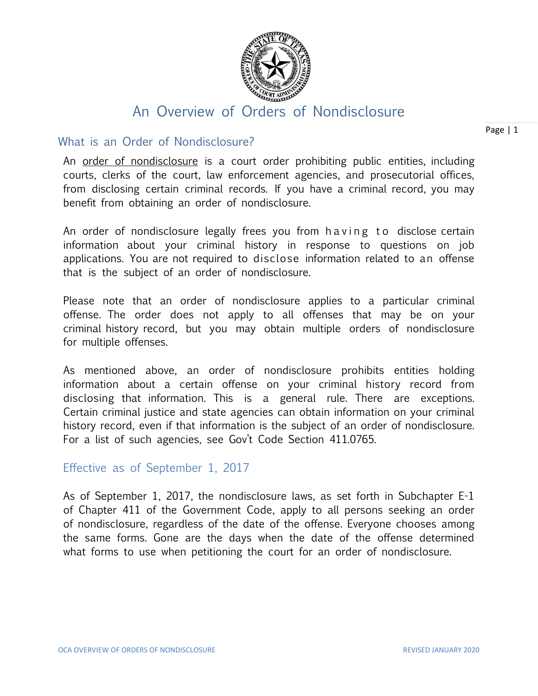

# An Overview of Orders of Nondisclosure

## What is an Order of Nondisclosure?

An order of nondisclosure is a court order prohibiting public entities, including courts, clerks of the court, law enforcement agencies, and prosecutorial offices, from disclosing certain criminal records. If you have a criminal record, you may benefit from obtaining an order of nondisclosure.

An order of nondisclosure legally frees you from having to disclose certain information about your criminal history in response to questions on job applications. You are not required to disclose information related to an offense that is the subject of an order of nondisclosure.

Please note that an order of nondisclosure applies to a particular criminal offense. The order does not apply to all offenses that may be on your criminal history record, but you may obtain multiple orders of nondisclosure for multiple offenses.

As mentioned above, an order of nondisclosure prohibits entities holding information about a certain offense on your criminal history record from disclosing that information. This is a general rule. There are exceptions. Certain criminal justice and state agencies can obtain information on your criminal history record, even if that information is the subject of an order of nondisclosure. For a list of such agencies, see Gov't Code Section 411.0765.

# Effective as of September 1, 2017

As of September 1, 2017, the nondisclosure laws, as set forth in Subchapter E-1 of Chapter 411 of the Government Code, apply to all persons seeking an order of nondisclosure, regardless of the date of the offense. Everyone chooses among the same forms. Gone are the days when the date of the offense determined what forms to use when petitioning the court for an order of nondisclosure.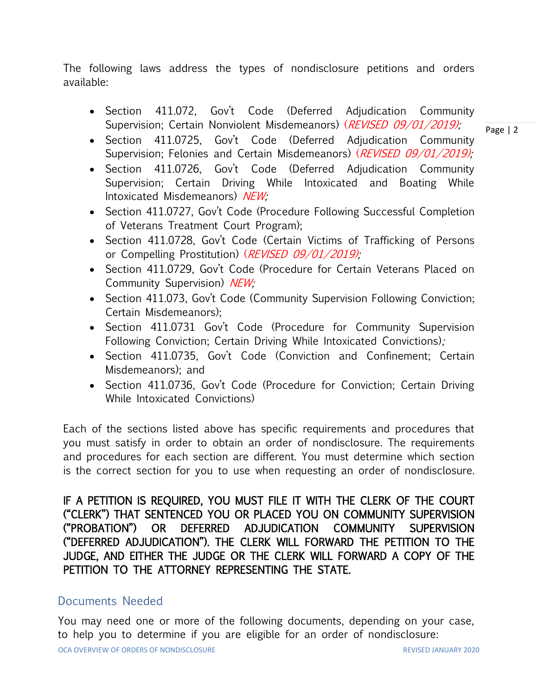The following laws address the types of nondisclosure petitions and orders available:

- Section 411.072, Gov't Code (Deferred Adjudication Community Supervision; Certain Nonviolent Misdemeanors) (REVISED 09/01/2019);
- Section 411.0725, Gov't Code (Deferred Adjudication Community Supervision; Felonies and Certain Misdemeanors) (REVISED 09/01/2019);
- Section 411.0726, Gov't Code (Deferred Adjudication Community Supervision; Certain Driving While Intoxicated and Boating While Intoxicated Misdemeanors) NEW;
- Section 411.0727, Gov't Code (Procedure Following Successful Completion of Veterans Treatment Court Program);
- Section 411.0728, Gov't Code (Certain Victims of Trafficking of Persons or Compelling Prostitution) (*REVISED 09/01/2019);*
- Section 411.0729, Gov't Code (Procedure for Certain Veterans Placed on Community Supervision) NEW;
- Section 411.073, Gov't Code (Community Supervision Following Conviction; Certain Misdemeanors);
- Section 411.0731 Gov't Code (Procedure for Community Supervision Following Conviction; Certain Driving While Intoxicated Convictions);
- Section 411.0735, Gov't Code (Conviction and Confinement; Certain Misdemeanors); and
- Section 411.0736, Gov't Code (Procedure for Conviction; Certain Driving While Intoxicated Convictions)

Each of the sections listed above has specific requirements and procedures that you must satisfy in order to obtain an order of nondisclosure. The requirements and procedures for each section are different. You must determine which section is the correct section for you to use when requesting an order of nondisclosure.

IF A PETITION IS REQUIRED, YOU MUST FILE IT WITH THE CLERK OF THE COURT ("CLERK") THAT SENTENCED YOU OR PLACED YOU ON COMMUNITY SUPERVISION ("PROBATION") OR DEFERRED ADJUDICATION COMMUNITY SUPERVISION ("DEFERRED ADJUDICATION"). THE CLERK WILL FORWARD THE PETITION TO THE JUDGE, AND EITHER THE JUDGE OR THE CLERK WILL FORWARD A COPY OF THE PETITION TO THE ATTORNEY REPRESENTING THE STATE.

# Documents Needed

OCA OVERVIEW OF ORDERS OF NONDISCLOSURE REVISED JANUARY 2020 You may need one or more of the following documents, depending on your case, to help you to determine if you are eligible for an order of nondisclosure: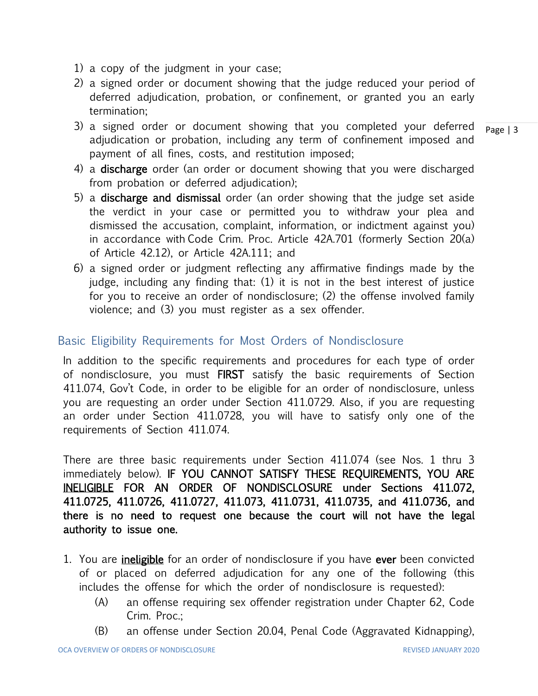- 1) a copy of the judgment in your case;
- 2) a signed order or document showing that the judge reduced your period of deferred adjudication, probation, or confinement, or granted you an early termination;
- 3) a signed order or document showing that you completed your deferred adjudication or probation, including any term of confinement imposed and payment of all fines, costs, and restitution imposed;
- 4) a discharge order (an order or document showing that you were discharged from probation or deferred adjudication);
- 5) a discharge and dismissal order (an order showing that the judge set aside the verdict in your case or permitted you to withdraw your plea and dismissed the accusation, complaint, information, or indictment against you) in accordance with Code Crim. Proc. Article 42A.701 (formerly Section 20(a) of Article 42.12), or Article 42A.111; and
- 6) a signed order or judgment reflecting any affirmative findings made by the judge, including any finding that: (1) it is not in the best interest of justice for you to receive an order of nondisclosure; (2) the offense involved family violence; and (3) you must register as a sex offender.

### Basic Eligibility Requirements for Most Orders of Nondisclosure

In addition to the specific requirements and procedures for each type of order of nondisclosure, you must FIRST satisfy the basic requirements of Section 411.074, Gov't Code, in order to be eligible for an order of nondisclosure, unless you are requesting an order under Section 411.0729. Also, if you are requesting an order under Section 411.0728, you will have to satisfy only one of the requirements of Section 411.074.

There are three basic requirements under Section 411.074 (see Nos. 1 thru 3 immediately below). IF YOU CANNOT SATISFY THESE REQUIREMENTS, YOU ARE INELIGIBLE FOR AN ORDER OF NONDISCLOSURE under Sections 411.072, 411.0725, 411.0726, 411.0727, 411.073, 411.0731, 411.0735, and 411.0736, and there is no need to request one because the court will not have the legal authority to issue one.

- 1. You are *ineligible* for an order of nondisclosure if you have ever been convicted of or placed on deferred adjudication for any one of the following (this includes the offense for which the order of nondisclosure is requested):
	- (A) an offense requiring sex offender registration under Chapter 62, Code Crim. Proc.;
	- (B) an offense under Section 20.04, Penal Code (Aggravated Kidnapping),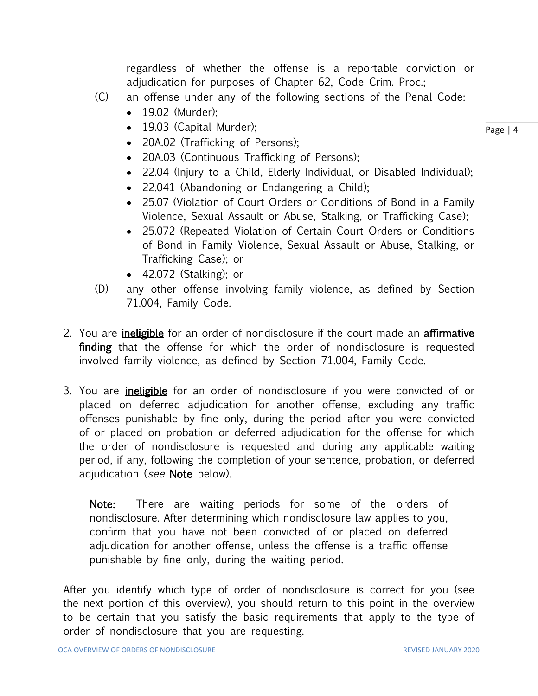regardless of whether the offense is a reportable conviction or adjudication for purposes of Chapter 62, Code Crim. Proc.;

- (C) an offense under any of the following sections of the Penal Code:
	- 19.02 (Murder):
	- 19.03 (Capital Murder);
	- 20A.02 (Trafficking of Persons);
	- 20A.03 (Continuous Trafficking of Persons);
	- 22.04 (Injury to a Child, Elderly Individual, or Disabled Individual);
	- 22.041 (Abandoning or Endangering a Child);
	- 25.07 (Violation of Court Orders or Conditions of Bond in a Family Violence, Sexual Assault or Abuse, Stalking, or Trafficking Case);
	- 25.072 (Repeated Violation of Certain Court Orders or Conditions of Bond in Family Violence, Sexual Assault or Abuse, Stalking, or Trafficking Case); or
	- 42.072 (Stalking); or
- (D) any other offense involving family violence, as defined by Section 71.004, Family Code.
- 2. You are *ineligible* for an order of nondisclosure if the court made an **affirmative** finding that the offense for which the order of nondisclosure is requested involved family violence, as defined by Section 71.004, Family Code.
- 3. You are *ineligible* for an order of nondisclosure if you were convicted of or placed on deferred adjudication for another offense, excluding any traffic offenses punishable by fine only, during the period after you were convicted of or placed on probation or deferred adjudication for the offense for which the order of nondisclosure is requested and during any applicable waiting period, if any, following the completion of your sentence, probation, or deferred adjudication (see Note below).

Note: There are waiting periods for some of the orders of nondisclosure. After determining which nondisclosure law applies to you, confirm that you have not been convicted of or placed on deferred adjudication for another offense, unless the offense is a traffic offense punishable by fine only, during the waiting period.

After you identify which type of order of nondisclosure is correct for you (see the next portion of this overview), you should return to this point in the overview to be certain that you satisfy the basic requirements that apply to the type of order of nondisclosure that you are requesting.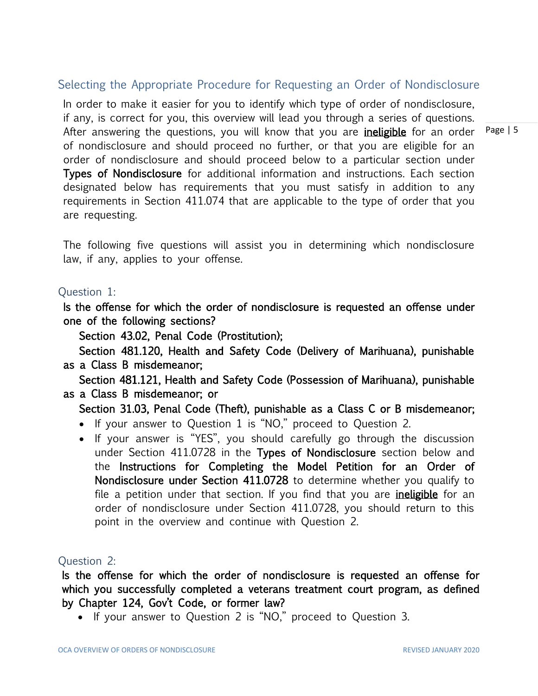# Selecting the Appropriate Procedure for Requesting an Order of Nondisclosure

In order to make it easier for you to identify which type of order of nondisclosure, if any, is correct for you, this overview will lead you through a series of questions. After answering the questions, you will know that you are *ineligible* for an order of nondisclosure and should proceed no further, or that you are eligible for an order of nondisclosure and should proceed below to a particular section under Types of Nondisclosure for additional information and instructions. Each section designated below has requirements that you must satisfy in addition to any requirements in Section 411.074 that are applicable to the type of order that you are requesting.

The following five questions will assist you in determining which nondisclosure law, if any, applies to your offense.

#### Question 1:

Is the offense for which the order of nondisclosure is requested an offense under one of the following sections?

Section 43.02, Penal Code (Prostitution);

Section 481.120, Health and Safety Code (Delivery of Marihuana), punishable as a Class B misdemeanor;

Section 481.121, Health and Safety Code (Possession of Marihuana), punishable as a Class B misdemeanor; or

Section 31.03, Penal Code (Theft), punishable as a Class C or B misdemeanor;

- If your answer to Question 1 is "NO," proceed to Question 2.
- If your answer is "YES", you should carefully go through the discussion under Section 411.0728 in the Types of Nondisclosure section below and the Instructions for Completing the Model Petition for an Order of Nondisclosure under Section 411.0728 to determine whether you qualify to file a petition under that section. If you find that you are *ineligible* for an order of nondisclosure under Section 411.0728, you should return to this point in the overview and continue with Question 2.

#### Question 2:

Is the offense for which the order of nondisclosure is requested an offense for which you successfully completed a veterans treatment court program, as defined by Chapter 124, Gov't Code, or former law?

• If your answer to Question 2 is "NO," proceed to Question 3.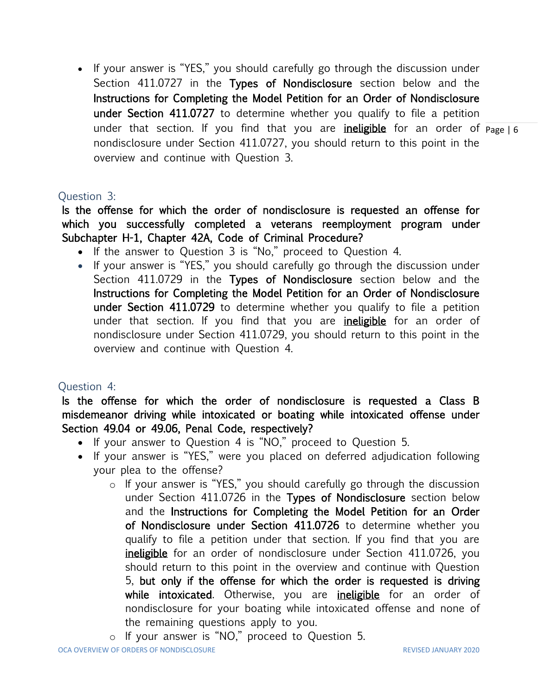under that section. If you find that you are <u>i**neligible**</u> for an order of p<sub>age | 6</sub> • If your answer is "YES," you should carefully go through the discussion under Section 411.0727 in the Types of Nondisclosure section below and the Instructions for Completing the Model Petition for an Order of Nondisclosure under Section 411.0727 to determine whether you qualify to file a petition nondisclosure under Section 411.0727, you should return to this point in the overview and continue with Question 3.

### Question 3:

Is the offense for which the order of nondisclosure is requested an offense for which you successfully completed a veterans reemployment program under Subchapter H-1, Chapter 42A, Code of Criminal Procedure?

- If the answer to Question 3 is "No," proceed to Question 4.
- If your answer is "YES," you should carefully go through the discussion under Section 411.0729 in the Types of Nondisclosure section below and the Instructions for Completing the Model Petition for an Order of Nondisclosure under Section 411.0729 to determine whether you qualify to file a petition under that section. If you find that you are *ineligible* for an order of nondisclosure under Section 411.0729, you should return to this point in the overview and continue with Question 4.

# Question 4:

Is the offense for which the order of nondisclosure is requested a Class B misdemeanor driving while intoxicated or boating while intoxicated offense under Section 49.04 or 49.06, Penal Code, respectively?

- If your answer to Question 4 is "NO," proceed to Question 5.
- If your answer is "YES," were you placed on deferred adjudication following your plea to the offense?
	- o If your answer is "YES," you should carefully go through the discussion under Section 411.0726 in the Types of Nondisclosure section below and the Instructions for Completing the Model Petition for an Order of Nondisclosure under Section 411.0726 to determine whether you qualify to file a petition under that section. If you find that you are ineligible for an order of nondisclosure under Section 411.0726, you should return to this point in the overview and continue with Question 5, but only if the offense for which the order is requested is driving while intoxicated. Otherwise, you are ineligible for an order of nondisclosure for your boating while intoxicated offense and none of the remaining questions apply to you.
	- o If your answer is "NO," proceed to Question 5.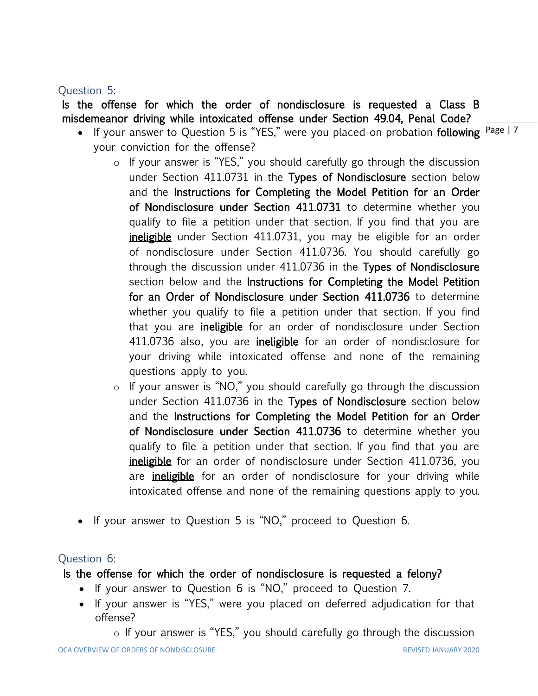# Question 5:

Is the offense for which the order of nondisclosure is requested a Class B misdemeanor driving while intoxicated offense under Section 49.04, Penal Code?

- If your answer to Question 5 is "YES," were you placed on probation following <sup>Page</sup> | 7 your conviction for the offense?
	- o If your answer is "YES," you should carefully go through the discussion under Section 411.0731 in the Types of Nondisclosure section below and the Instructions for Completing the Model Petition for an Order of Nondisclosure under Section 411.0731 to determine whether you qualify to file a petition under that section. If you find that you are ineligible under Section 411.0731, you may be eligible for an order of nondisclosure under Section 411.0736. You should carefully go through the discussion under 411.0736 in the Types of Nondisclosure section below and the Instructions for Completing the Model Petition for an Order of Nondisclosure under Section 411.0736 to determine whether you qualify to file a petition under that section. If you find that you are *ineligible* for an order of nondisclosure under Section 411.0736 also, you are *ineligible* for an order of nondisclosure for your driving while intoxicated offense and none of the remaining questions apply to you.
	- o If your answer is "NO," you should carefully go through the discussion under Section 411.0736 in the Types of Nondisclosure section below and the Instructions for Completing the Model Petition for an Order of Nondisclosure under Section 411.0736 to determine whether you qualify to file a petition under that section. If you find that you are ineligible for an order of nondisclosure under Section 411.0736, you are **ineligible** for an order of nondisclosure for your driving while intoxicated offense and none of the remaining questions apply to you.
- If your answer to Question 5 is "NO," proceed to Question 6.

# Question 6:

# Is the offense for which the order of nondisclosure is requested a felony?

- If your answer to Question 6 is "NO," proceed to Question 7.
- If your answer is "YES," were you placed on deferred adjudication for that offense?
	- o If your answer is "YES," you should carefully go through the discussion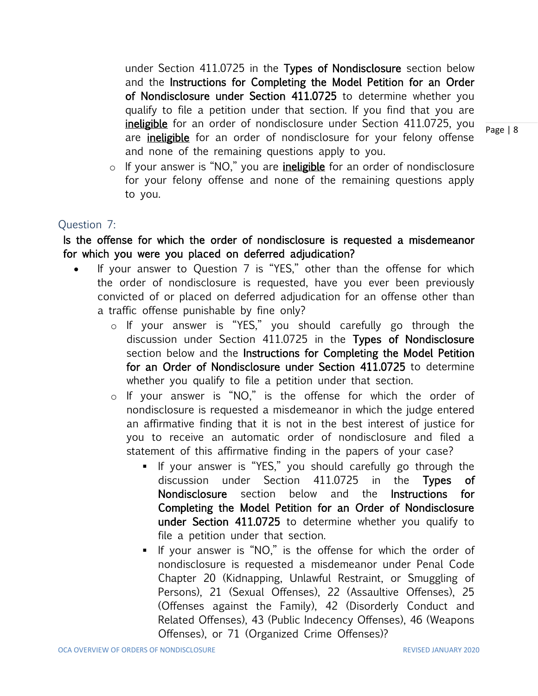under Section 411.0725 in the Types of Nondisclosure section below and the Instructions for Completing the Model Petition for an Order of Nondisclosure under Section 411.0725 to determine whether you qualify to file a petition under that section. If you find that you are ineligible for an order of nondisclosure under Section 411.0725, you are **ineligible** for an order of nondisclosure for your felony offense and none of the remaining questions apply to you.

Page | 8

 $\circ$  If your answer is "NO," you are ineligible for an order of nondisclosure for your felony offense and none of the remaining questions apply to you.

### Question 7:

Is the offense for which the order of nondisclosure is requested a misdemeanor for which you were you placed on deferred adjudication?

- If your answer to Question 7 is "YES," other than the offense for which the order of nondisclosure is requested, have you ever been previously convicted of or placed on deferred adjudication for an offense other than a traffic offense punishable by fine only?
	- o If your answer is "YES," you should carefully go through the discussion under Section 411.0725 in the Types of Nondisclosure section below and the Instructions for Completing the Model Petition for an Order of Nondisclosure under Section 411.0725 to determine whether you qualify to file a petition under that section.
	- o If your answer is "NO," is the offense for which the order of nondisclosure is requested a misdemeanor in which the judge entered an affirmative finding that it is not in the best interest of justice for you to receive an automatic order of nondisclosure and filed a statement of this affirmative finding in the papers of your case?
		- If your answer is "YES," you should carefully go through the discussion under Section 411.0725 in the Types of Nondisclosure section below and the Instructions for Completing the Model Petition for an Order of Nondisclosure under Section 411.0725 to determine whether you qualify to file a petition under that section.
		- If your answer is "NO," is the offense for which the order of nondisclosure is requested a misdemeanor under Penal Code Chapter 20 (Kidnapping, Unlawful Restraint, or Smuggling of Persons), 21 (Sexual Offenses), 22 (Assaultive Offenses), 25 (Offenses against the Family), 42 (Disorderly Conduct and Related Offenses), 43 (Public Indecency Offenses), 46 (Weapons Offenses), or 71 (Organized Crime Offenses)?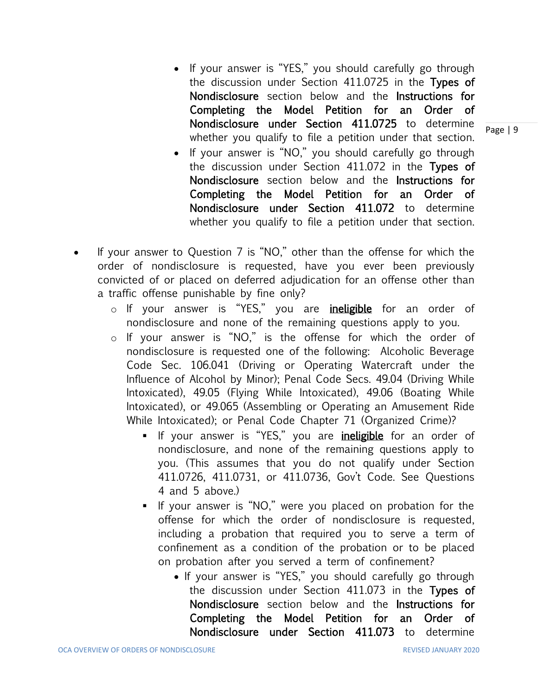- If your answer is "YES," you should carefully go through the discussion under Section 411.0725 in the Types of Nondisclosure section below and the Instructions for Completing the Model Petition for an Order of Nondisclosure under Section 411.0725 to determine whether you qualify to file a petition under that section.
- If your answer is "NO," you should carefully go through the discussion under Section 411.072 in the Types of Nondisclosure section below and the Instructions for Completing the Model Petition for an Order of Nondisclosure under Section 411.072 to determine whether you qualify to file a petition under that section.
- If your answer to Question 7 is "NO," other than the offense for which the order of nondisclosure is requested, have you ever been previously convicted of or placed on deferred adjudication for an offense other than a traffic offense punishable by fine only?
	- o If your answer is "YES," you are *ineligible* for an order of nondisclosure and none of the remaining questions apply to you.
	- o If your answer is "NO," is the offense for which the order of nondisclosure is requested one of the following: Alcoholic Beverage Code Sec. 106.041 (Driving or Operating Watercraft under the Influence of Alcohol by Minor); Penal Code Secs. 49.04 (Driving While Intoxicated), 49.05 (Flying While Intoxicated), 49.06 (Boating While Intoxicated), or 49.065 (Assembling or Operating an Amusement Ride While Intoxicated); or Penal Code Chapter 71 (Organized Crime)?
		- **.** If your answer is "YES," you are *ineligible* for an order of nondisclosure, and none of the remaining questions apply to you. (This assumes that you do not qualify under Section 411.0726, 411.0731, or 411.0736, Gov't Code. See Questions 4 and 5 above.)
		- If your answer is "NO," were you placed on probation for the offense for which the order of nondisclosure is requested, including a probation that required you to serve a term of confinement as a condition of the probation or to be placed on probation after you served a term of confinement?
			- If your answer is "YES," you should carefully go through the discussion under Section 411.073 in the Types of Nondisclosure section below and the Instructions for Completing the Model Petition for an Order of Nondisclosure under Section 411.073 to determine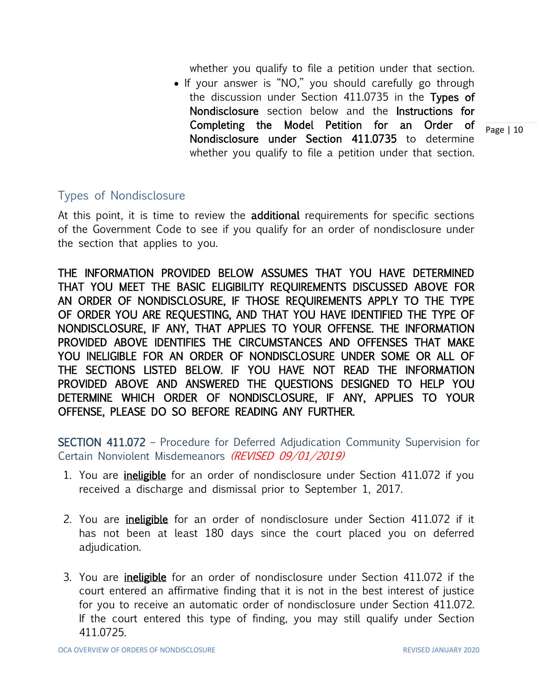whether you qualify to file a petition under that section.

• If your answer is "NO," you should carefully go through the discussion under Section 411.0735 in the Types of Nondisclosure section below and the Instructions for Completing the Model Petition for an Order of Nondisclosure under Section 411.0735 to determine whether you qualify to file a petition under that section.

### Types of Nondisclosure

At this point, it is time to review the additional requirements for specific sections of the Government Code to see if you qualify for an order of nondisclosure under the section that applies to you.

THE INFORMATION PROVIDED BELOW ASSUMES THAT YOU HAVE DETERMINED THAT YOU MEET THE BASIC ELIGIBILITY REQUIREMENTS DISCUSSED ABOVE FOR AN ORDER OF NONDISCLOSURE, IF THOSE REQUIREMENTS APPLY TO THE TYPE OF ORDER YOU ARE REQUESTING, AND THAT YOU HAVE IDENTIFIED THE TYPE OF NONDISCLOSURE, IF ANY, THAT APPLIES TO YOUR OFFENSE. THE INFORMATION PROVIDED ABOVE IDENTIFIES THE CIRCUMSTANCES AND OFFENSES THAT MAKE YOU INELIGIBLE FOR AN ORDER OF NONDISCLOSURE UNDER SOME OR ALL OF THE SECTIONS LISTED BELOW. IF YOU HAVE NOT READ THE INFORMATION PROVIDED ABOVE AND ANSWERED THE QUESTIONS DESIGNED TO HELP YOU DETERMINE WHICH ORDER OF NONDISCLOSURE, IF ANY, APPLIES TO YOUR OFFENSE, PLEASE DO SO BEFORE READING ANY FURTHER.

SECTION 411.072 – Procedure for Deferred Adjudication Community Supervision for Certain Nonviolent Misdemeanors (REVISED 09/01/2019)

- 1. You are *ineligible* for an order of nondisclosure under Section 411.072 if you received a discharge and dismissal prior to September 1, 2017.
- 2. You are *ineligible* for an order of nondisclosure under Section 411.072 if it has not been at least 180 days since the court placed you on deferred adjudication.
- 3. You are *ineligible* for an order of nondisclosure under Section 411.072 if the court entered an affirmative finding that it is not in the best interest of justice for you to receive an automatic order of nondisclosure under Section 411.072. If the court entered this type of finding, you may still qualify under Section 411.0725.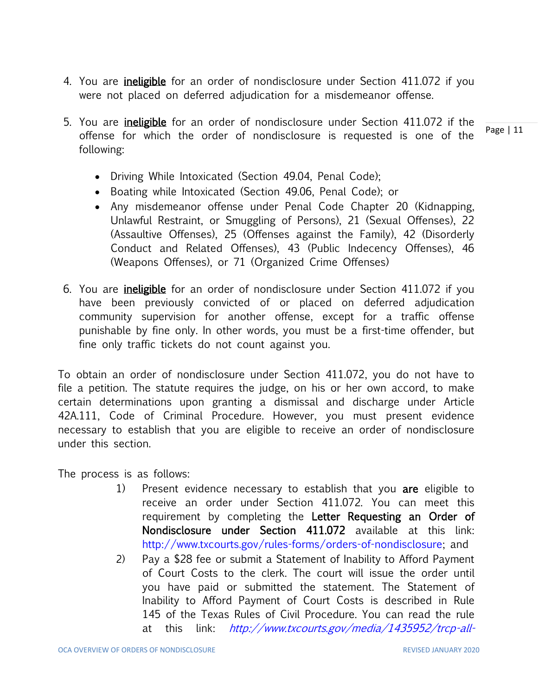- 4. You are *ineligible* for an order of nondisclosure under Section 411.072 if you were not placed on deferred adjudication for a misdemeanor offense.
- Page | 11 5. You are ineligible for an order of nondisclosure under Section 411.072 if the offense for which the order of nondisclosure is requested is one of the following:
	- Driving While Intoxicated (Section 49.04, Penal Code);
	- Boating while Intoxicated (Section 49.06, Penal Code); or
	- Any misdemeanor offense under Penal Code Chapter 20 (Kidnapping, Unlawful Restraint, or Smuggling of Persons), 21 (Sexual Offenses), 22 (Assaultive Offenses), 25 (Offenses against the Family), 42 (Disorderly Conduct and Related Offenses), 43 (Public Indecency Offenses), 46 (Weapons Offenses), or 71 (Organized Crime Offenses)
- 6. You are *ineligible* for an order of nondisclosure under Section 411.072 if you have been previously convicted of or placed on deferred adjudication community supervision for another offense, except for a traffic offense punishable by fine only. In other words, you must be a first-time offender, but fine only traffic tickets do not count against you.

To obtain an order of nondisclosure under Section 411.072, you do not have to file a petition. The statute requires the judge, on his or her own accord, to make certain determinations upon granting a dismissal and discharge under Article 42A.111, Code of Criminal Procedure. However, you must present evidence necessary to establish that you are eligible to receive an order of nondisclosure under this section.

The process is as follows:

- 1) Present evidence necessary to establish that you are eligible to receive an order under Section 411.072. You can meet this requirement by completing the Letter Requesting an Order of Nondisclosure under Section 411.072 available at this link: [http://www.txcourts.gov/rules-forms/orders-of-nondisclosure;](http://www.txcourts.gov/rules-forms/orders-of-nondisclosure) and
- 2) Pay a \$28 fee or submit a Statement of Inability to Afford Payment of Court Costs to the clerk. The court will issue the order until you have paid or submitted the statement. The Statement of Inability to Afford Payment of Court Costs is described in Rule 145 of the Texas Rules of Civil Procedure. You can read the rule at this link: [http://www.txcourts.gov/media/1435952/trcp-all-](http://www.txcourts.gov/media/1435952/trcp-all-updated-with-amendments-effective-912016.pdf)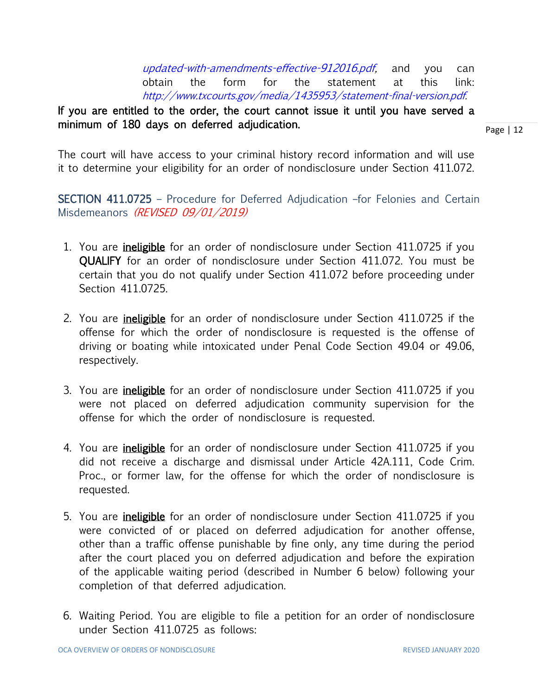[updated-with-amendments-effective-912016.pdf,](http://www.txcourts.gov/media/1435952/trcp-all-updated-with-amendments-effective-912016.pdf) and you can obtain the form for the statement at this link: [http://www.txcourts.gov/media/1435953/statement-final-version.pdf.](http://www.txcourts.gov/media/1435953/statement-final-version.pdf)

# If you are entitled to the order, the court cannot issue it until you have served a minimum of 180 days on deferred adjudication.

Page | 12

The court will have access to your criminal history record information and will use it to determine your eligibility for an order of nondisclosure under Section 411.072.

SECTION 411.0725 – Procedure for Deferred Adjudication –for Felonies and Certain Misdemeanors (REVISED 09/01/2019)

- 1. You are *ineligible* for an order of nondisclosure under Section 411.0725 if you QUALIFY for an order of nondisclosure under Section 411.072. You must be certain that you do not qualify under Section 411.072 before proceeding under Section 411.0725.
- 2. You are *ineligible* for an order of nondisclosure under Section 411.0725 if the offense for which the order of nondisclosure is requested is the offense of driving or boating while intoxicated under Penal Code Section 49.04 or 49.06, respectively.
- 3. You are *ineligible* for an order of nondisclosure under Section 411.0725 if you were not placed on deferred adjudication community supervision for the offense for which the order of nondisclosure is requested.
- 4. You are *ineligible* for an order of nondisclosure under Section 411.0725 if you did not receive a discharge and dismissal under Article 42A.111, Code Crim. Proc., or former law, for the offense for which the order of nondisclosure is requested.
- 5. You are *ineligible* for an order of nondisclosure under Section 411.0725 if you were convicted of or placed on deferred adjudication for another offense, other than a traffic offense punishable by fine only, any time during the period after the court placed you on deferred adjudication and before the expiration of the applicable waiting period (described in Number 6 below) following your completion of that deferred adjudication.
- 6. Waiting Period. You are eligible to file a petition for an order of nondisclosure under Section 411.0725 as follows: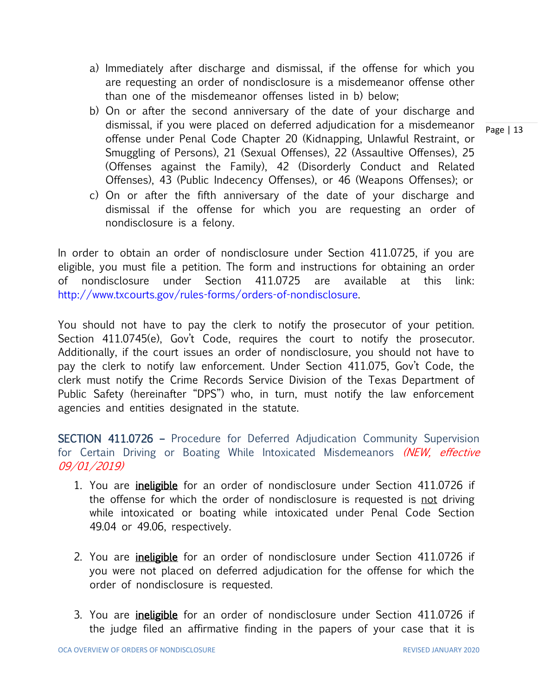- a) Immediately after discharge and dismissal, if the offense for which you are requesting an order of nondisclosure is a misdemeanor offense other than one of the misdemeanor offenses listed in b) below;
- b) On or after the second anniversary of the date of your discharge and dismissal, if you were placed on deferred adjudication for a misdemeanor offense under Penal Code Chapter 20 (Kidnapping, Unlawful Restraint, or Smuggling of Persons), 21 (Sexual Offenses), 22 (Assaultive Offenses), 25 (Offenses against the Family), 42 (Disorderly Conduct and Related Offenses), 43 (Public Indecency Offenses), or 46 (Weapons Offenses); or
- c) On or after the fifth anniversary of the date of your discharge and dismissal if the offense for which you are requesting an order of nondisclosure is a felony.

In order to obtain an order of nondisclosure under Section 411.0725, if you are eligible, you must file a petition. The form and instructions for obtaining an order of nondisclosure under Section 411.0725 are available at this link: [http://www.txcourts.gov/rules-forms/orders-of-nondisclosure.](http://www.txcourts.gov/rules-forms/orders-of-nondisclosure)

You should not have to pay the clerk to notify the prosecutor of your petition. Section 411.0745(e), Gov't Code, requires the court to notify the prosecutor. Additionally, if the court issues an order of nondisclosure, you should not have to pay the clerk to notify law enforcement. Under Section 411.075, Gov't Code, the clerk must notify the Crime Records Service Division of the Texas Department of Public Safety (hereinafter "DPS") who, in turn, must notify the law enforcement agencies and entities designated in the statute.

SECTION 411.0726 – Procedure for Deferred Adjudication Community Supervision for Certain Driving or Boating While Intoxicated Misdemeanors (NEW, effective 09/01/2019)

- 1. You are *ineligible* for an order of nondisclosure under Section 411.0726 if the offense for which the order of nondisclosure is requested is not driving while intoxicated or boating while intoxicated under Penal Code Section 49.04 or 49.06, respectively.
- 2. You are *ineligible* for an order of nondisclosure under Section 411.0726 if you were not placed on deferred adjudication for the offense for which the order of nondisclosure is requested.
- 3. You are **ineligible** for an order of nondisclosure under Section 411.0726 if the judge filed an affirmative finding in the papers of your case that it is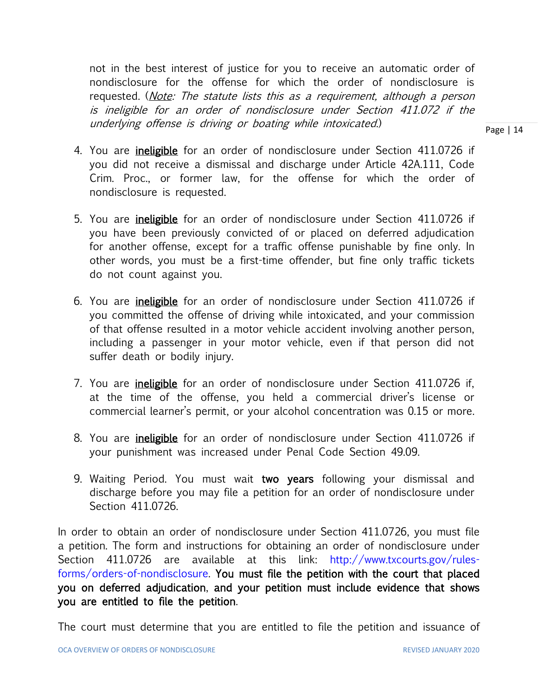not in the best interest of justice for you to receive an automatic order of nondisclosure for the offense for which the order of nondisclosure is requested. (*Note: The statute lists this as a requirement, although a person* is ineligible for an order of nondisclosure under Section 411.072 if the underlying offense is driving or boating while intoxicated.)

- 4. You are ineligible for an order of nondisclosure under Section 411.0726 if you did not receive a dismissal and discharge under Article 42A.111, Code Crim. Proc., or former law, for the offense for which the order of nondisclosure is requested.
- 5. You are ineligible for an order of nondisclosure under Section 411.0726 if you have been previously convicted of or placed on deferred adjudication for another offense, except for a traffic offense punishable by fine only. In other words, you must be a first-time offender, but fine only traffic tickets do not count against you.
- 6. You are ineligible for an order of nondisclosure under Section 411.0726 if you committed the offense of driving while intoxicated, and your commission of that offense resulted in a motor vehicle accident involving another person, including a passenger in your motor vehicle, even if that person did not suffer death or bodily injury.
- 7. You are *ineligible* for an order of nondisclosure under Section 411.0726 if, at the time of the offense, you held a commercial driver's license or commercial learner's permit, or your alcohol concentration was 0.15 or more.
- 8. You are ineligible for an order of nondisclosure under Section 411.0726 if your punishment was increased under Penal Code Section 49.09.
- 9. Waiting Period. You must wait two years following your dismissal and discharge before you may file a petition for an order of nondisclosure under Section 411.0726.

In order to obtain an order of nondisclosure under Section 411.0726, you must file a petition. The form and instructions for obtaining an order of nondisclosure under Section 411.0726 are available at this link: [http://www.txcourts.gov/rules](http://www.txcourts.gov/rules-forms/orders-of-nondisclosure)[forms/orders-of-nondisclosure.](http://www.txcourts.gov/rules-forms/orders-of-nondisclosure) You must file the petition with the court that placed you on deferred adjudication, and your petition must include evidence that shows you are entitled to file the petition.

The court must determine that you are entitled to file the petition and issuance of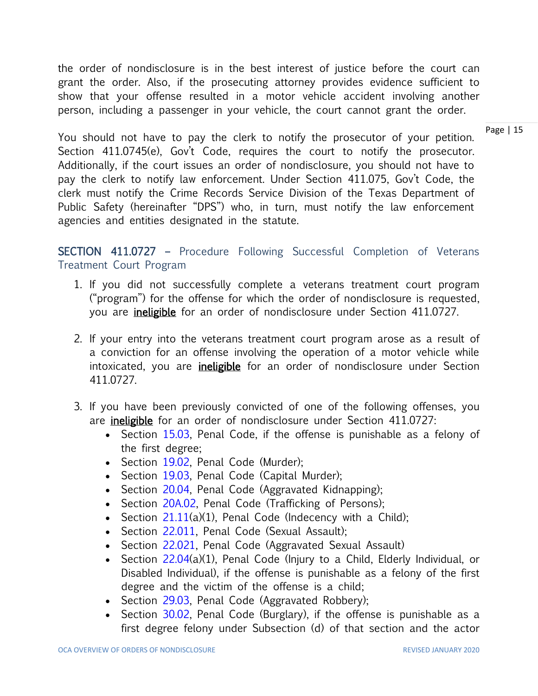the order of nondisclosure is in the best interest of justice before the court can grant the order. Also, if the prosecuting attorney provides evidence sufficient to show that your offense resulted in a motor vehicle accident involving another person, including a passenger in your vehicle, the court cannot grant the order.

Page | 15

You should not have to pay the clerk to notify the prosecutor of your petition. Section 411.0745(e), Gov't Code, requires the court to notify the prosecutor. Additionally, if the court issues an order of nondisclosure, you should not have to pay the clerk to notify law enforcement. Under Section 411.075, Gov't Code, the clerk must notify the Crime Records Service Division of the Texas Department of Public Safety (hereinafter "DPS") who, in turn, must notify the law enforcement agencies and entities designated in the statute.

SECTION 411.0727 – Procedure Following Successful Completion of Veterans Treatment Court Program

- 1. If you did not successfully complete a veterans treatment court program ("program") for the offense for which the order of nondisclosure is requested, you are ineligible for an order of nondisclosure under Section 411.0727.
- 2. If your entry into the veterans treatment court program arose as a result of a conviction for an offense involving the operation of a motor vehicle while intoxicated, you are *ineligible* for an order of nondisclosure under Section 411.0727.
- 3. If you have been previously convicted of one of the following offenses, you are **ineligible** for an order of nondisclosure under Section 411.0727:
	- Section [15.03,](http://www.statutes.legis.state.tx.us/GetStatute.aspx?Code=PE&Value=15.03) Penal Code, if the offense is punishable as a felony of the first degree;
	- Section [19.02,](http://www.statutes.legis.state.tx.us/GetStatute.aspx?Code=PE&Value=19.02) Penal Code (Murder);
	- Section [19.03,](http://www.statutes.legis.state.tx.us/GetStatute.aspx?Code=PE&Value=19.03) Penal Code (Capital Murder);
	- Section [20.04,](http://www.statutes.legis.state.tx.us/GetStatute.aspx?Code=PE&Value=20.04) Penal Code (Aggravated Kidnapping);
	- Section [20A.02,](http://www.statutes.legis.state.tx.us/GetStatute.aspx?Code=PE&Value=20A.02) Penal Code (Trafficking of Persons);
	- Section  $21.11(a)(1)$ , Penal Code (Indecency with a Child);
	- Section [22.011,](http://www.statutes.legis.state.tx.us/GetStatute.aspx?Code=PE&Value=22.011) Penal Code (Sexual Assault);
	- Section [22.021,](http://www.statutes.legis.state.tx.us/GetStatute.aspx?Code=PE&Value=22.021) Penal Code (Aggravated Sexual Assault)
	- Section [22.04\(](http://www.statutes.legis.state.tx.us/GetStatute.aspx?Code=PE&Value=22.04)a)(1), Penal Code (Injury to a Child, Elderly Individual, or Disabled Individual), if the offense is punishable as a felony of the first degree and the victim of the offense is a child;
	- Section [29.03,](http://www.statutes.legis.state.tx.us/GetStatute.aspx?Code=PE&Value=29.03) Penal Code (Aggravated Robbery);
	- Section [30.02,](http://www.statutes.legis.state.tx.us/GetStatute.aspx?Code=PE&Value=30.02) Penal Code (Burglary), if the offense is punishable as a first degree felony under Subsection (d) of that section and the actor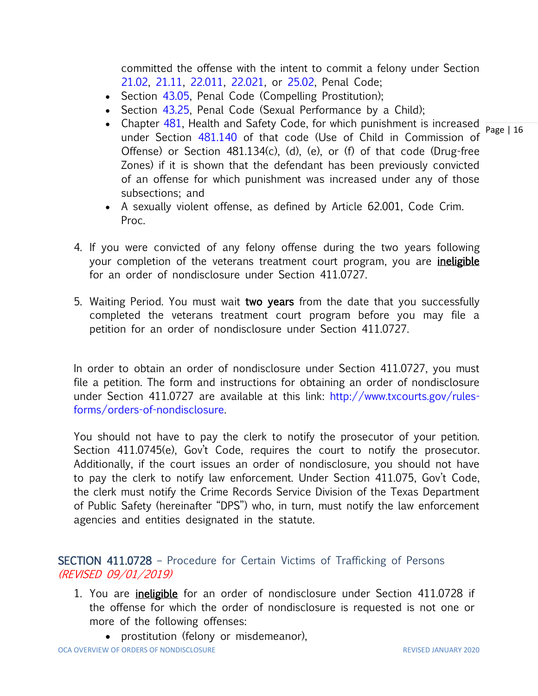committed the offense with the intent to commit a felony under Section [21.02,](http://www.statutes.legis.state.tx.us/GetStatute.aspx?Code=PE&Value=21.02) [21.11,](http://www.statutes.legis.state.tx.us/GetStatute.aspx?Code=PE&Value=21.11) [22.011,](http://www.statutes.legis.state.tx.us/GetStatute.aspx?Code=PE&Value=22.011) [22.021,](http://www.statutes.legis.state.tx.us/GetStatute.aspx?Code=PE&Value=22.021) or [25.02,](http://www.statutes.legis.state.tx.us/GetStatute.aspx?Code=PE&Value=25.02) Penal Code;

- Section [43.05,](http://www.statutes.legis.state.tx.us/GetStatute.aspx?Code=PE&Value=43.05) Penal Code (Compelling Prostitution);
- Section [43.25,](http://www.statutes.legis.state.tx.us/GetStatute.aspx?Code=PE&Value=43.25) Penal Code (Sexual Performance by a Child);
- Chapter [481,](http://www.statutes.legis.state.tx.us/GetStatute.aspx?Code=HS&Value=481) Health and Safety Code, for which punishment is increased  $\frac{16}{\text{Page} + 16}$ under Section [481.140](http://www.statutes.legis.state.tx.us/GetStatute.aspx?Code=HS&Value=481.140&Date=7/26/2017) of that code (Use of Child in Commission of Offense) or Section 481.134(c), (d), (e), or (f) of that code (Drug-free Zones) if it is shown that the defendant has been previously convicted of an offense for which punishment was increased under any of those subsections; and
- A sexually violent offense, as defined by Article 62.001, Code Crim. Proc.
- 4. If you were convicted of any felony offense during the two years following your completion of the veterans treatment court program, you are *ineligible* for an order of nondisclosure under Section 411.0727.
- 5. Waiting Period. You must wait two years from the date that you successfully completed the veterans treatment court program before you may file a petition for an order of nondisclosure under Section 411.0727.

In order to obtain an order of nondisclosure under Section 411.0727, you must file a petition. The form and instructions for obtaining an order of nondisclosure under Section 411.0727 are available at this link: [http://www.txcourts.gov/rules](http://www.txcourts.gov/rules-forms/orders-of-nondisclosure)[forms/orders-of-nondisclosure.](http://www.txcourts.gov/rules-forms/orders-of-nondisclosure)

You should not have to pay the clerk to notify the prosecutor of your petition. Section 411.0745(e), Gov't Code, requires the court to notify the prosecutor. Additionally, if the court issues an order of nondisclosure, you should not have to pay the clerk to notify law enforcement. Under Section 411.075, Gov't Code, the clerk must notify the Crime Records Service Division of the Texas Department of Public Safety (hereinafter "DPS") who, in turn, must notify the law enforcement agencies and entities designated in the statute.

SECTION 411.0728 – Procedure for Certain Victims of Trafficking of Persons (REVISED 09/01/2019)

- 1. You are *ineligible* for an order of nondisclosure under Section 411.0728 if the offense for which the order of nondisclosure is requested is not one or more of the following offenses:
	- prostitution (felony or misdemeanor),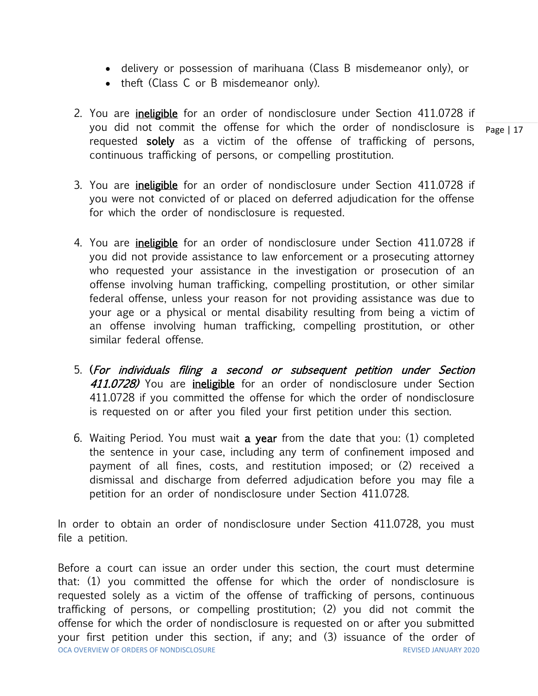- delivery or possession of marihuana (Class B misdemeanor only), or
- theft (Class C or B misdemeanor only).
- you did not commit the offense for which the order of nondisclosure is  $\frac{}{\text{Page} \mid 17}$ 2. You are *ineligible* for an order of nondisclosure under Section 411.0728 if requested solely as a victim of the offense of trafficking of persons, continuous trafficking of persons, or compelling prostitution.
- 3. You are *ineligible* for an order of nondisclosure under Section 411.0728 if you were not convicted of or placed on deferred adjudication for the offense for which the order of nondisclosure is requested.
- 4. You are *ineligible* for an order of nondisclosure under Section 411.0728 if you did not provide assistance to law enforcement or a prosecuting attorney who requested your assistance in the investigation or prosecution of an offense involving human trafficking, compelling prostitution, or other similar federal offense, unless your reason for not providing assistance was due to your age or a physical or mental disability resulting from being a victim of an offense involving human trafficking, compelling prostitution, or other similar federal offense.
- 5. (For individuals filing a second or subsequent petition under Section 411.0728) You are ineligible for an order of nondisclosure under Section 411.0728 if you committed the offense for which the order of nondisclosure is requested on or after you filed your first petition under this section.
- 6. Waiting Period. You must wait a year from the date that you: (1) completed the sentence in your case, including any term of confinement imposed and payment of all fines, costs, and restitution imposed; or (2) received a dismissal and discharge from deferred adjudication before you may file a petition for an order of nondisclosure under Section 411.0728.

In order to obtain an order of nondisclosure under Section 411.0728, you must file a petition.

OCA OVERVIEW OF ORDERS OF NONDISCLOSURE REVISED JANUARY 2020 Before a court can issue an order under this section, the court must determine that: (1) you committed the offense for which the order of nondisclosure is requested solely as a victim of the offense of trafficking of persons, continuous trafficking of persons, or compelling prostitution; (2) you did not commit the offense for which the order of nondisclosure is requested on or after you submitted your first petition under this section, if any; and (3) issuance of the order of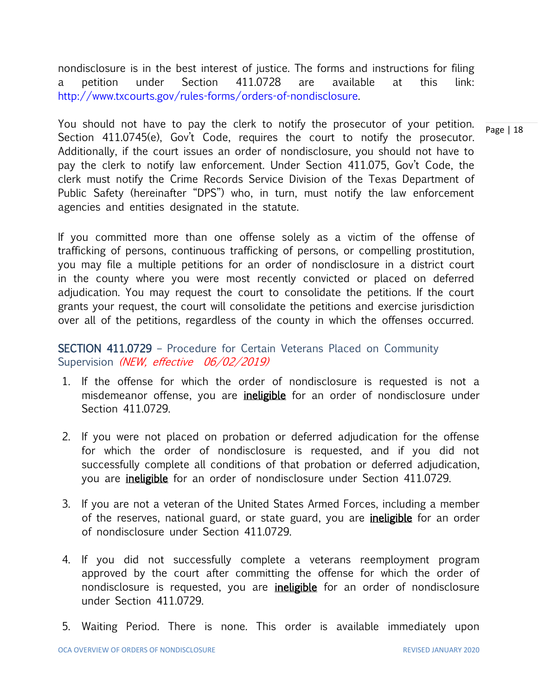nondisclosure is in the best interest of justice. The forms and instructions for filing a petition under Section 411.0728 are available at this link: [http://www.txcourts.gov/rules-forms/orders-of-nondisclosure.](http://www.txcourts.gov/rules-forms/orders-of-nondisclosure)

Page | 18 You should not have to pay the clerk to notify the prosecutor of your petition. Section 411.0745(e), Gov't Code, requires the court to notify the prosecutor. Additionally, if the court issues an order of nondisclosure, you should not have to pay the clerk to notify law enforcement. Under Section 411.075, Gov't Code, the clerk must notify the Crime Records Service Division of the Texas Department of Public Safety (hereinafter "DPS") who, in turn, must notify the law enforcement agencies and entities designated in the statute.

If you committed more than one offense solely as a victim of the offense of trafficking of persons, continuous trafficking of persons, or compelling prostitution, you may file a multiple petitions for an order of nondisclosure in a district court in the county where you were most recently convicted or placed on deferred adjudication. You may request the court to consolidate the petitions. If the court grants your request, the court will consolidate the petitions and exercise jurisdiction over all of the petitions, regardless of the county in which the offenses occurred.

#### SECTION 411.0729 – Procedure for Certain Veterans Placed on Community Supervision (NEW, effective 06/02/2019)

- 1. If the offense for which the order of nondisclosure is requested is not a misdemeanor offense, you are *ineligible* for an order of nondisclosure under Section 411.0729.
- 2. If you were not placed on probation or deferred adjudication for the offense for which the order of nondisclosure is requested, and if you did not successfully complete all conditions of that probation or deferred adjudication, you are ineligible for an order of nondisclosure under Section 411.0729.
- 3. If you are not a veteran of the United States Armed Forces, including a member of the reserves, national guard, or state guard, you are *ineligible* for an order of nondisclosure under Section 411.0729.
- 4. If you did not successfully complete a veterans reemployment program approved by the court after committing the offense for which the order of nondisclosure is requested, you are *ineligible* for an order of nondisclosure under Section 411.0729.
- 5. Waiting Period. There is none. This order is available immediately upon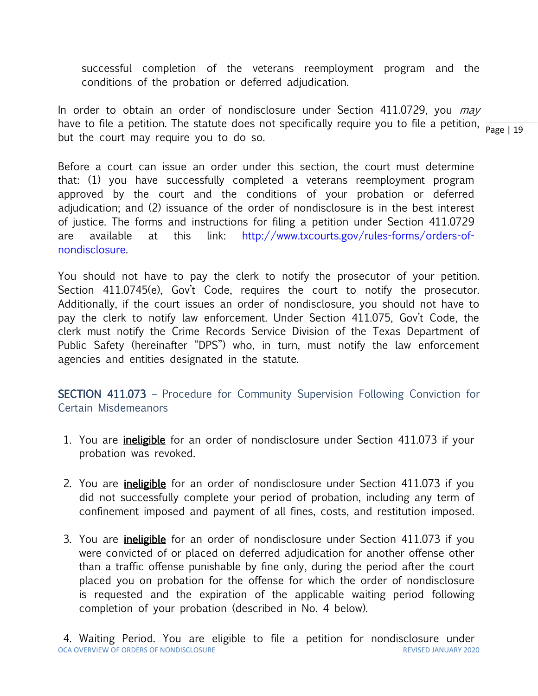successful completion of the veterans reemployment program and the conditions of the probation or deferred adjudication.

have to file a petition. The statute does not specifically require you to file a petition,  $\frac{}{\text{Page}+19}$ In order to obtain an order of nondisclosure under Section 411.0729, you may but the court may require you to do so.

Before a court can issue an order under this section, the court must determine that: (1) you have successfully completed a veterans reemployment program approved by the court and the conditions of your probation or deferred adjudication; and (2) issuance of the order of nondisclosure is in the best interest of justice. The forms and instructions for filing a petition under Section 411.0729 are available at this link: [http://www.txcourts.gov/rules-forms/orders-of](http://www.txcourts.gov/rules-forms/orders-of-nondisclosure)[nondisclosure.](http://www.txcourts.gov/rules-forms/orders-of-nondisclosure)

You should not have to pay the clerk to notify the prosecutor of your petition. Section 411.0745(e), Gov't Code, requires the court to notify the prosecutor. Additionally, if the court issues an order of nondisclosure, you should not have to pay the clerk to notify law enforcement. Under Section 411.075, Gov't Code, the clerk must notify the Crime Records Service Division of the Texas Department of Public Safety (hereinafter "DPS") who, in turn, must notify the law enforcement agencies and entities designated in the statute.

SECTION 411.073 – Procedure for Community Supervision Following Conviction for Certain Misdemeanors

- 1. You are *ineligible* for an order of nondisclosure under Section 411.073 if your probation was revoked.
- 2. You are *ineligible* for an order of nondisclosure under Section 411.073 if you did not successfully complete your period of probation, including any term of confinement imposed and payment of all fines, costs, and restitution imposed.
- 3. You are *ineligible* for an order of nondisclosure under Section 411.073 if you were convicted of or placed on deferred adjudication for another offense other than a traffic offense punishable by fine only, during the period after the court placed you on probation for the offense for which the order of nondisclosure is requested and the expiration of the applicable waiting period following completion of your probation (described in No. 4 below).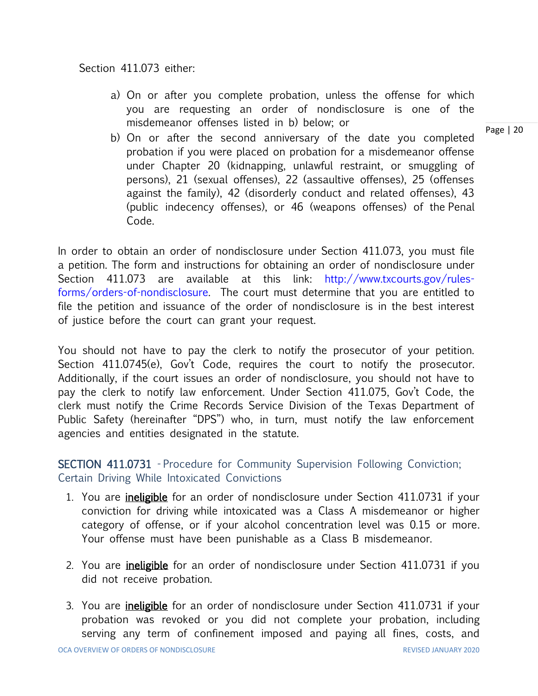Section 411.073 either:

- a) On or after you complete probation, unless the offense for which you are requesting an order of nondisclosure is one of the misdemeanor offenses listed in b) below; or
- b) On or after the second anniversary of the date you completed probation if you were placed on probation for a misdemeanor offense under Chapter 20 (kidnapping, unlawful restraint, or smuggling of persons), 21 (sexual offenses), 22 (assaultive offenses), 25 (offenses against the family), 42 (disorderly conduct and related offenses), 43 (public indecency offenses), or 46 (weapons offenses) of the Penal Code.

In order to obtain an order of nondisclosure under Section 411.073, you must file a petition. The form and instructions for obtaining an order of nondisclosure under Section 411.073 are available at this link: [http://www.txcourts.gov/rules](http://www.txcourts.gov/rules-forms/orders-of-nondisclosure)[forms/orders-of-nondisclosure.](http://www.txcourts.gov/rules-forms/orders-of-nondisclosure) The court must determine that you are entitled to file the petition and issuance of the order of nondisclosure is in the best interest of justice before the court can grant your request.

You should not have to pay the clerk to notify the prosecutor of your petition. Section 411.0745(e), Gov't Code, requires the court to notify the prosecutor. Additionally, if the court issues an order of nondisclosure, you should not have to pay the clerk to notify law enforcement. Under Section 411.075, Gov't Code, the clerk must notify the Crime Records Service Division of the Texas Department of Public Safety (hereinafter "DPS") who, in turn, must notify the law enforcement agencies and entities designated in the statute.

SECTION 411.0731 - Procedure for Community Supervision Following Conviction; Certain Driving While Intoxicated Convictions

- 1. You are *ineligible* for an order of nondisclosure under Section 411.0731 if your conviction for driving while intoxicated was a Class A misdemeanor or higher category of offense, or if your alcohol concentration level was 0.15 or more. Your offense must have been punishable as a Class B misdemeanor.
- 2. You are *ineligible* for an order of nondisclosure under Section 411.0731 if you did not receive probation.
- 3. You are *ineligible* for an order of nondisclosure under Section 411.0731 if your probation was revoked or you did not complete your probation, including serving any term of confinement imposed and paying all fines, costs, and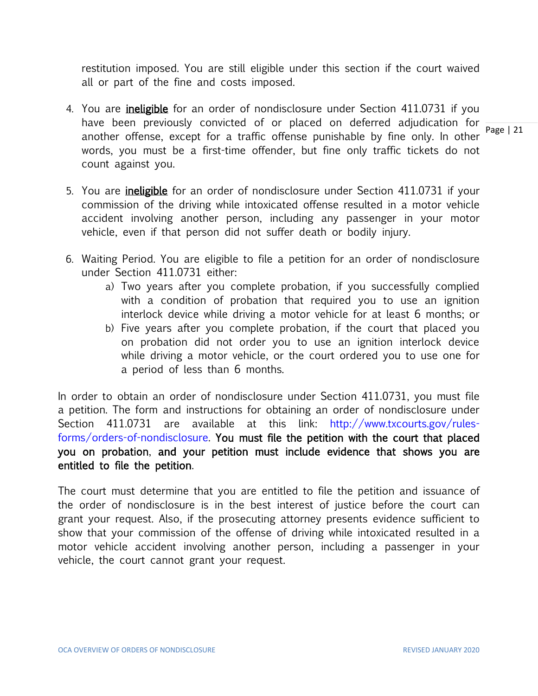restitution imposed. You are still eligible under this section if the court waived all or part of the fine and costs imposed.

- Page | 21 4. You are *ineligible* for an order of nondisclosure under Section 411.0731 if you have been previously convicted of or placed on deferred adjudication for another offense, except for a traffic offense punishable by fine only. In other words, you must be a first-time offender, but fine only traffic tickets do not count against you.
- 5. You are *ineligible* for an order of nondisclosure under Section 411.0731 if your commission of the driving while intoxicated offense resulted in a motor vehicle accident involving another person, including any passenger in your motor vehicle, even if that person did not suffer death or bodily injury.
- 6. Waiting Period. You are eligible to file a petition for an order of nondisclosure under Section 411.0731 either:
	- a) Two years after you complete probation, if you successfully complied with a condition of probation that required you to use an ignition interlock device while driving a motor vehicle for at least 6 months; or
	- b) Five years after you complete probation, if the court that placed you on probation did not order you to use an ignition interlock device while driving a motor vehicle, or the court ordered you to use one for a period of less than 6 months.

In order to obtain an order of nondisclosure under Section 411.0731, you must file a petition. The form and instructions for obtaining an order of nondisclosure under Section 411.0731 are available at this link: [http://www.txcourts.gov/rules](http://www.txcourts.gov/rules-forms/orders-of-nondisclosure)[forms/orders-of-nondisclosure.](http://www.txcourts.gov/rules-forms/orders-of-nondisclosure) You must file the petition with the court that placed you on probation, and your petition must include evidence that shows you are entitled to file the petition.

The court must determine that you are entitled to file the petition and issuance of the order of nondisclosure is in the best interest of justice before the court can grant your request. Also, if the prosecuting attorney presents evidence sufficient to show that your commission of the offense of driving while intoxicated resulted in a motor vehicle accident involving another person, including a passenger in your vehicle, the court cannot grant your request.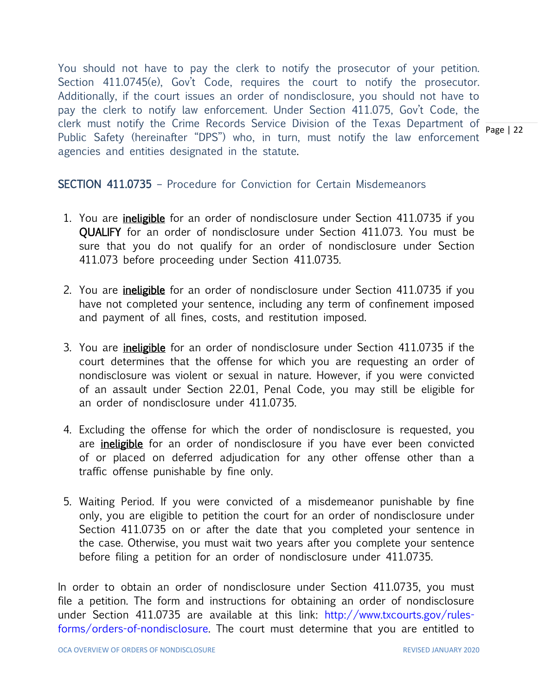clerk must notify the Crime Records Service Division of the Texas Department of  $\frac{1}{\text{Page} + 22}$ You should not have to pay the clerk to notify the prosecutor of your petition. Section 411.0745(e), Gov't Code, requires the court to notify the prosecutor. Additionally, if the court issues an order of nondisclosure, you should not have to pay the clerk to notify law enforcement. Under Section 411.075, Gov't Code, the Public Safety (hereinafter "DPS") who, in turn, must notify the law enforcement agencies and entities designated in the statute.

#### SECTION 411.0735 – Procedure for Conviction for Certain Misdemeanors

- 1. You are *ineligible* for an order of nondisclosure under Section 411.0735 if you QUALIFY for an order of nondisclosure under Section 411.073. You must be sure that you do not qualify for an order of nondisclosure under Section 411.073 before proceeding under Section 411.0735.
- 2. You are *ineligible* for an order of nondisclosure under Section 411.0735 if you have not completed your sentence, including any term of confinement imposed and payment of all fines, costs, and restitution imposed.
- 3. You are *ineligible* for an order of nondisclosure under Section 411.0735 if the court determines that the offense for which you are requesting an order of nondisclosure was violent or sexual in nature. However, if you were convicted of an assault under Section 22.01, Penal Code, you may still be eligible for an order of nondisclosure under 411.0735.
- 4. Excluding the offense for which the order of nondisclosure is requested, you are ineligible for an order of nondisclosure if you have ever been convicted of or placed on deferred adjudication for any other offense other than a traffic offense punishable by fine only.
- 5. Waiting Period. If you were convicted of a misdemeanor punishable by fine only, you are eligible to petition the court for an order of nondisclosure under Section 411.0735 on or after the date that you completed your sentence in the case. Otherwise, you must wait two years after you complete your sentence before filing a petition for an order of nondisclosure under 411.0735.

In order to obtain an order of nondisclosure under Section 411.0735, you must file a petition. The form and instructions for obtaining an order of nondisclosure under Section 411.0735 are available at this link: [http://www.txcourts.gov/rules](http://www.txcourts.gov/rules-forms/orders-of-nondisclosure)[forms/orders-of-nondisclosure.](http://www.txcourts.gov/rules-forms/orders-of-nondisclosure) The court must determine that you are entitled to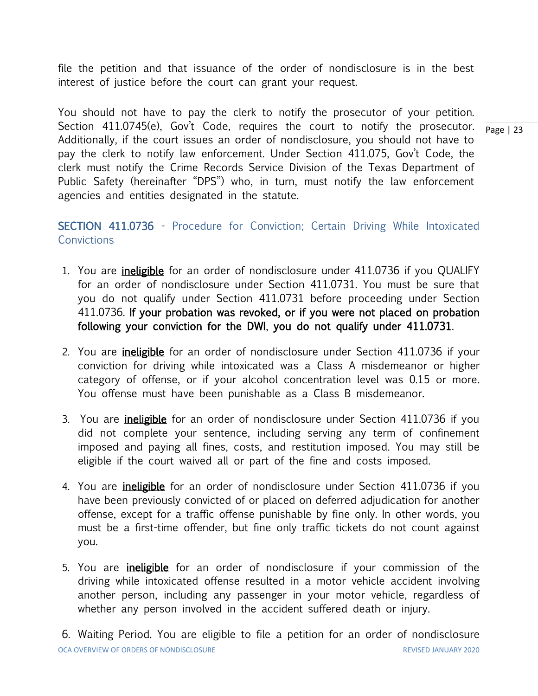file the petition and that issuance of the order of nondisclosure is in the best interest of justice before the court can grant your request.

Page | 23 You should not have to pay the clerk to notify the prosecutor of your petition. Section 411.0745(e), Gov't Code, requires the court to notify the prosecutor. Additionally, if the court issues an order of nondisclosure, you should not have to pay the clerk to notify law enforcement. Under Section 411.075, Gov't Code, the clerk must notify the Crime Records Service Division of the Texas Department of Public Safety (hereinafter "DPS") who, in turn, must notify the law enforcement agencies and entities designated in the statute.

SECTION 411.0736 - Procedure for Conviction; Certain Driving While Intoxicated **Convictions** 

- 1. You are *ineligible* for an order of nondisclosure under 411.0736 if you QUALIFY for an order of nondisclosure under Section 411.0731. You must be sure that you do not qualify under Section 411.0731 before proceeding under Section 411.0736. If your probation was revoked, or if you were not placed on probation following your conviction for the DWI, you do not qualify under 411.0731.
- 2. You are *ineligible* for an order of nondisclosure under Section 411.0736 if your conviction for driving while intoxicated was a Class A misdemeanor or higher category of offense, or if your alcohol concentration level was 0.15 or more. You offense must have been punishable as a Class B misdemeanor.
- 3. You are ineligible for an order of nondisclosure under Section 411.0736 if you did not complete your sentence, including serving any term of confinement imposed and paying all fines, costs, and restitution imposed. You may still be eligible if the court waived all or part of the fine and costs imposed.
- 4. You are *ineligible* for an order of nondisclosure under Section 411.0736 if you have been previously convicted of or placed on deferred adjudication for another offense, except for a traffic offense punishable by fine only. In other words, you must be a first-time offender, but fine only traffic tickets do not count against you.
- 5. You are *ineligible* for an order of nondisclosure if your commission of the driving while intoxicated offense resulted in a motor vehicle accident involving another person, including any passenger in your motor vehicle, regardless of whether any person involved in the accident suffered death or injury.

OCA OVERVIEW OF ORDERS OF NONDISCLOSURE REVISED JANUARY 2020 6. Waiting Period. You are eligible to file a petition for an order of nondisclosure